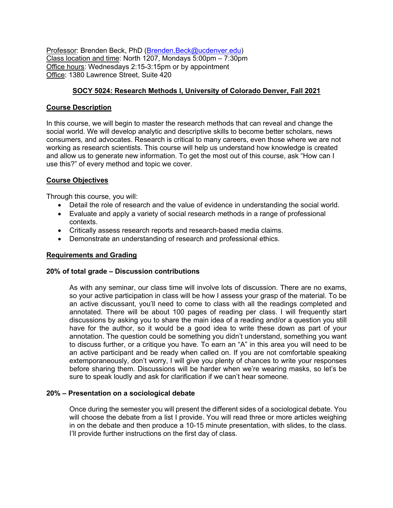Professor: Brenden Beck, PhD (Brenden.Beck@ucdenver.edu) Class location and time: North 1207, Mondays 5:00pm – 7:30pm Office hours: Wednesdays 2:15-3:15pm or by appointment Office: 1380 Lawrence Street, Suite 420

## **SOCY 5024: Research Methods I, University of Colorado Denver, Fall 2021**

### **Course Description**

In this course, we will begin to master the research methods that can reveal and change the social world. We will develop analytic and descriptive skills to become better scholars, news consumers, and advocates. Research is critical to many careers, even those where we are not working as research scientists. This course will help us understand how knowledge is created and allow us to generate new information. To get the most out of this course, ask "How can I use this?" of every method and topic we cover.

### **Course Objectives**

Through this course, you will:

- Detail the role of research and the value of evidence in understanding the social world.
- Evaluate and apply a variety of social research methods in a range of professional contexts.
- Critically assess research reports and research-based media claims.
- Demonstrate an understanding of research and professional ethics.

### **Requirements and Grading**

#### **20% of total grade – Discussion contributions**

As with any seminar, our class time will involve lots of discussion. There are no exams, so your active participation in class will be how I assess your grasp of the material. To be an active discussant, you'll need to come to class with all the readings completed and annotated. There will be about 100 pages of reading per class. I will frequently start discussions by asking you to share the main idea of a reading and/or a question you still have for the author, so it would be a good idea to write these down as part of your annotation. The question could be something you didn't understand, something you want to discuss further, or a critique you have. To earn an "A" in this area you will need to be an active participant and be ready when called on. If you are not comfortable speaking extemporaneously, don't worry, I will give you plenty of chances to write your responses before sharing them. Discussions will be harder when we're wearing masks, so let's be sure to speak loudly and ask for clarification if we can't hear someone.

#### **20% – Presentation on a sociological debate**

Once during the semester you will present the different sides of a sociological debate. You will choose the debate from a list I provide. You will read three or more articles weighing in on the debate and then produce a 10-15 minute presentation, with slides, to the class. I'll provide further instructions on the first day of class.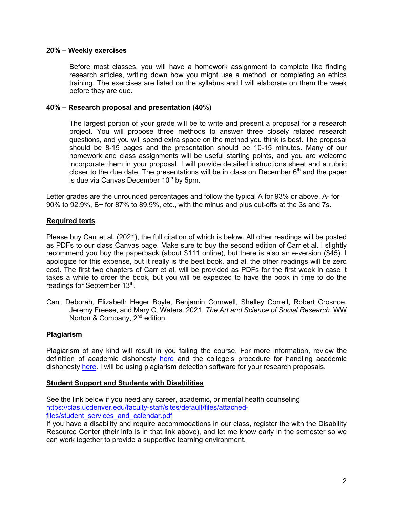### **20% – Weekly exercises**

Before most classes, you will have a homework assignment to complete like finding research articles, writing down how you might use a method, or completing an ethics training. The exercises are listed on the syllabus and I will elaborate on them the week before they are due.

### **40% – Research proposal and presentation (40%)**

The largest portion of your grade will be to write and present a proposal for a research project. You will propose three methods to answer three closely related research questions, and you will spend extra space on the method you think is best. The proposal should be 8-15 pages and the presentation should be 10-15 minutes. Many of our homework and class assignments will be useful starting points, and you are welcome incorporate them in your proposal. I will provide detailed instructions sheet and a rubric closer to the due date. The presentations will be in class on December  $6<sup>th</sup>$  and the paper is due via Canvas December  $10<sup>th</sup>$  by 5pm.

Letter grades are the unrounded percentages and follow the typical A for 93% or above, A- for 90% to 92.9%, B+ for 87% to 89.9%, etc., with the minus and plus cut-offs at the 3s and 7s.

### **Required texts**

Please buy Carr et al. (2021), the full citation of which is below. All other readings will be posted as PDFs to our class Canvas page. Make sure to buy the second edition of Carr et al. I slightly recommend you buy the paperback (about \$111 online), but there is also an e-version (\$45). I apologize for this expense, but it really is the best book, and all the other readings will be zero cost. The first two chapters of Carr et al. will be provided as PDFs for the first week in case it takes a while to order the book, but you will be expected to have the book in time to do the readings for September 13<sup>th</sup>.

Carr, Deborah, Elizabeth Heger Boyle, Benjamin Cornwell, Shelley Correll, Robert Crosnoe, Jeremy Freese, and Mary C. Waters. 2021. *The Art and Science of Social Research*. WW Norton & Company, 2<sup>nd</sup> edition.

#### **Plagiarism**

Plagiarism of any kind will result in you failing the course. For more information, review the definition of academic dishonesty here and the college's procedure for handling academic dishonesty here. I will be using plagiarism detection software for your research proposals.

#### **Student Support and Students with Disabilities**

See the link below if you need any career, academic, or mental health counseling https://clas.ucdenver.edu/faculty-staff/sites/default/files/attachedfiles/student\_services\_and\_calendar.pdf

If you have a disability and require accommodations in our class, register the with the Disability Resource Center (their info is in that link above), and let me know early in the semester so we can work together to provide a supportive learning environment.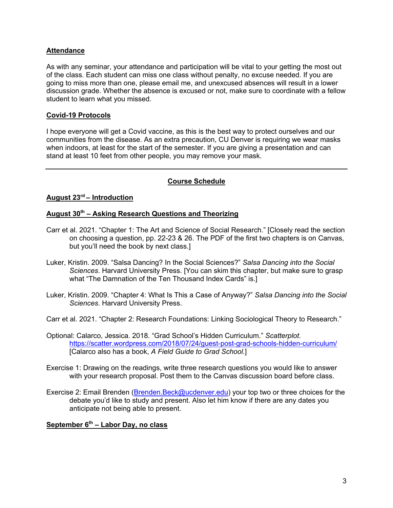## **Attendance**

As with any seminar, your attendance and participation will be vital to your getting the most out of the class. Each student can miss one class without penalty, no excuse needed. If you are going to miss more than one, please email me, and unexcused absences will result in a lower discussion grade. Whether the absence is excused or not, make sure to coordinate with a fellow student to learn what you missed.

## **Covid-19 Protocols**

I hope everyone will get a Covid vaccine, as this is the best way to protect ourselves and our communities from the disease. As an extra precaution, CU Denver is requiring we wear masks when indoors, at least for the start of the semester. If you are giving a presentation and can stand at least 10 feet from other people, you may remove your mask.

## **Course Schedule**

### **August 23rd – Introduction**

### **August 30th – Asking Research Questions and Theorizing**

- Carr et al. 2021. "Chapter 1: The Art and Science of Social Research." [Closely read the section on choosing a question, pp. 22-23 & 26. The PDF of the first two chapters is on Canvas, but you'll need the book by next class.]
- Luker, Kristin. 2009. "Salsa Dancing? In the Social Sciences?" *Salsa Dancing into the Social Sciences*. Harvard University Press. [You can skim this chapter, but make sure to grasp what "The Damnation of the Ten Thousand Index Cards" is.]
- Luker, Kristin. 2009. "Chapter 4: What Is This a Case of Anyway?" *Salsa Dancing into the Social Sciences*. Harvard University Press.
- Carr et al. 2021. "Chapter 2: Research Foundations: Linking Sociological Theory to Research."
- Optional: Calarco, Jessica. 2018. "Grad School's Hidden Curriculum." *Scatterplot*. https://scatter.wordpress.com/2018/07/24/guest-post-grad-schools-hidden-curriculum/ [Calarco also has a book, *A Field Guide to Grad School.*]
- Exercise 1: Drawing on the readings, write three research questions you would like to answer with your research proposal. Post them to the Canvas discussion board before class.
- Exercise 2: Email Brenden (Brenden.Beck@ucdenver.edu) your top two or three choices for the debate you'd like to study and present. Also let him know if there are any dates you anticipate not being able to present.

## **September 6th – Labor Day, no class**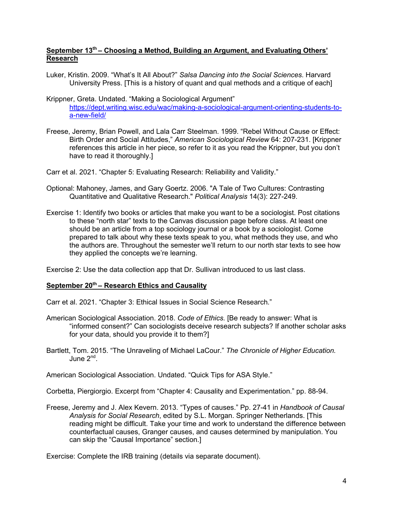## **September 13th – Choosing a Method, Building an Argument, and Evaluating Others' Research**

- Luker, Kristin. 2009. "What's It All About?" *Salsa Dancing into the Social Sciences*. Harvard University Press. [This is a history of quant and qual methods and a critique of each]
- Krippner, Greta. Undated. "Making a Sociological Argument" https://dept.writing.wisc.edu/wac/making-a-sociological-argument-orienting-students-toa-new-field/
- Freese, Jeremy, Brian Powell, and Lala Carr Steelman. 1999. "Rebel Without Cause or Effect: Birth Order and Social Attitudes," *American Sociological Review* 64: 207-231. [Krippner references this article in her piece, so refer to it as you read the Krippner, but you don't have to read it thoroughly.]
- Carr et al. 2021. "Chapter 5: Evaluating Research: Reliability and Validity."
- Optional: Mahoney, James, and Gary Goertz. 2006. "A Tale of Two Cultures: Contrasting Quantitative and Qualitative Research." *Political Analysis* 14(3): 227-249.
- Exercise 1: Identify two books or articles that make you want to be a sociologist. Post citations to these "north star" texts to the Canvas discussion page before class. At least one should be an article from a top sociology journal or a book by a sociologist. Come prepared to talk about why these texts speak to you, what methods they use, and who the authors are. Throughout the semester we'll return to our north star texts to see how they applied the concepts we're learning.

Exercise 2: Use the data collection app that Dr. Sullivan introduced to us last class.

## **September 20th – Research Ethics and Causality**

Carr et al. 2021. "Chapter 3: Ethical Issues in Social Science Research."

- American Sociological Association. 2018. *Code of Ethics.* [Be ready to answer: What is "informed consent?" Can sociologists deceive research subjects? If another scholar asks for your data, should you provide it to them?]
- Bartlett, Tom. 2015. "The Unraveling of Michael LaCour." *The Chronicle of Higher Education.*  June 2<sup>nd</sup>.

American Sociological Association. Undated. "Quick Tips for ASA Style."

Corbetta, Piergiorgio. Excerpt from "Chapter 4: Causality and Experimentation." pp. 88-94.

Freese, Jeremy and J. Alex Kevern. 2013. "Types of causes." Pp. 27-41 in *Handbook of Causal Analysis for Social Research*, edited by S.L. Morgan. Springer Netherlands. [This reading might be difficult. Take your time and work to understand the difference between counterfactual causes, Granger causes, and causes determined by manipulation. You can skip the "Causal Importance" section.]

Exercise: Complete the IRB training (details via separate document).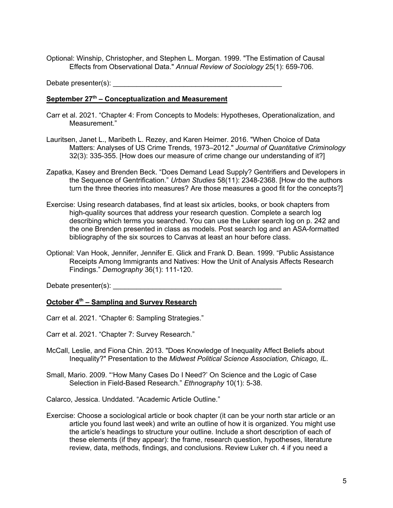Optional: Winship, Christopher, and Stephen L. Morgan. 1999. "The Estimation of Causal Effects from Observational Data." *Annual Review of Sociology* 25(1): 659-706.

Debate presenter(s): \_\_\_\_\_\_\_\_\_\_\_\_\_\_\_\_\_\_\_\_\_\_\_\_\_\_\_\_\_\_\_\_\_\_\_\_\_\_\_\_\_\_\_

### **September 27th – Conceptualization and Measurement**

- Carr et al. 2021. "Chapter 4: From Concepts to Models: Hypotheses, Operationalization, and Measurement."
- Lauritsen, Janet L., Maribeth L. Rezey, and Karen Heimer. 2016. "When Choice of Data Matters: Analyses of US Crime Trends, 1973–2012." *Journal of Quantitative Criminology* 32(3): 335-355. [How does our measure of crime change our understanding of it?]
- Zapatka, Kasey and Brenden Beck. "Does Demand Lead Supply? Gentrifiers and Developers in the Sequence of Gentrification." *Urban Studies* 58(11): 2348-2368. [How do the authors turn the three theories into measures? Are those measures a good fit for the concepts?]
- Exercise: Using research databases, find at least six articles, books, or book chapters from high-quality sources that address your research question. Complete a search log describing which terms you searched. You can use the Luker search log on p. 242 and the one Brenden presented in class as models. Post search log and an ASA-formatted bibliography of the six sources to Canvas at least an hour before class.
- Optional: Van Hook, Jennifer, Jennifer E. Glick and Frank D. Bean. 1999. "Public Assistance Receipts Among Immigrants and Natives: How the Unit of Analysis Affects Research Findings." *Demography* 36(1): 111-120.

Debate presenter(s):  $\blacksquare$ 

### **October 4th – Sampling and Survey Research**

Carr et al. 2021. "Chapter 6: Sampling Strategies."

Carr et al. 2021. "Chapter 7: Survey Research."

- McCall, Leslie, and Fiona Chin. 2013. "Does Knowledge of Inequality Affect Beliefs about Inequality?" Presentation to the *Midwest Political Science Association, Chicago, IL*.
- Small, Mario. 2009. "'How Many Cases Do I Need?' On Science and the Logic of Case Selection in Field-Based Research." *Ethnography* 10(1): 5-38.

Calarco, Jessica. Unddated. "Academic Article Outline."

Exercise: Choose a sociological article or book chapter (it can be your north star article or an article you found last week) and write an outline of how it is organized. You might use the article's headings to structure your outline. Include a short description of each of these elements (if they appear): the frame, research question, hypotheses, literature review, data, methods, findings, and conclusions. Review Luker ch. 4 if you need a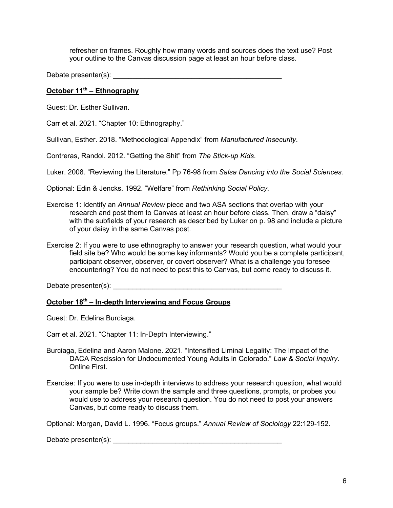refresher on frames. Roughly how many words and sources does the text use? Post your outline to the Canvas discussion page at least an hour before class.

Debate presenter(s):  $\blacksquare$ 

## **October 11th – Ethnography**

Guest: Dr. Esther Sullivan.

Carr et al. 2021. "Chapter 10: Ethnography."

Sullivan, Esther. 2018. "Methodological Appendix" from *Manufactured Insecurity*.

Contreras, Randol. 2012. "Getting the Shit" from *The Stick-up Kids*.

Luker. 2008. "Reviewing the Literature." Pp 76-98 from *Salsa Dancing into the Social Sciences.* 

Optional: Edin & Jencks. 1992. "Welfare" from *Rethinking Social Policy*.

- Exercise 1: Identify an *Annual Review* piece and two ASA sections that overlap with your research and post them to Canvas at least an hour before class. Then, draw a "daisy" with the subfields of your research as described by Luker on p. 98 and include a picture of your daisy in the same Canvas post.
- Exercise 2: If you were to use ethnography to answer your research question, what would your field site be? Who would be some key informants? Would you be a complete participant, participant observer, observer, or covert observer? What is a challenge you foresee encountering? You do not need to post this to Canvas, but come ready to discuss it.

Debate presenter(s):  $\blacksquare$ 

### **October 18th – In-depth Interviewing and Focus Groups**

Guest: Dr. Edelina Burciaga.

Carr et al. 2021. "Chapter 11: In-Depth Interviewing."

Burciaga, Edelina and Aaron Malone. 2021. "Intensified Liminal Legality: The Impact of the DACA Rescission for Undocumented Young Adults in Colorado." *Law & Social Inquiry*. Online First.

Exercise: If you were to use in-depth interviews to address your research question, what would your sample be? Write down the sample and three questions, prompts, or probes you would use to address your research question. You do not need to post your answers Canvas, but come ready to discuss them.

Optional: Morgan, David L. 1996. "Focus groups." *Annual Review of Sociology* 22:129-152.

Debate presenter(s):  $\blacksquare$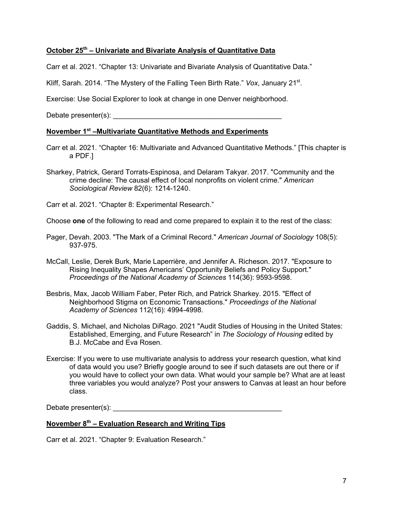## **October 25th – Univariate and Bivariate Analysis of Quantitative Data**

Carr et al. 2021. "Chapter 13: Univariate and Bivariate Analysis of Quantitative Data."

Kliff, Sarah. 2014. "The Mystery of the Falling Teen Birth Rate." *Vox*, January 21<sup>st</sup>.

Exercise: Use Social Explorer to look at change in one Denver neighborhood.

Debate presenter(s):  $\Box$ 

### **November 1st –Multivariate Quantitative Methods and Experiments**

Carr et al. 2021. "Chapter 16: Multivariate and Advanced Quantitative Methods." [This chapter is a PDF.]

Sharkey, Patrick, Gerard Torrats-Espinosa, and Delaram Takyar. 2017. "Community and the crime decline: The causal effect of local nonprofits on violent crime." *American Sociological Review* 82(6): 1214-1240.

Carr et al. 2021. "Chapter 8: Experimental Research."

Choose **one** of the following to read and come prepared to explain it to the rest of the class:

- Pager, Devah. 2003. "The Mark of a Criminal Record." *American Journal of Sociology* 108(5): 937-975.
- McCall, Leslie, Derek Burk, Marie Laperrière, and Jennifer A. Richeson. 2017. "Exposure to Rising Inequality Shapes Americans' Opportunity Beliefs and Policy Support." *Proceedings of the National Academy of Sciences* 114(36): 9593-9598.
- Besbris, Max, Jacob William Faber, Peter Rich, and Patrick Sharkey. 2015. "Effect of Neighborhood Stigma on Economic Transactions." *Proceedings of the National Academy of Sciences* 112(16): 4994-4998.
- Gaddis, S. Michael, and Nicholas DiRago. 2021 "Audit Studies of Housing in the United States: Established, Emerging, and Future Research" in *The Sociology of Housing* edited by B.J. McCabe and Eva Rosen.
- Exercise: If you were to use multivariate analysis to address your research question, what kind of data would you use? Briefly google around to see if such datasets are out there or if you would have to collect your own data. What would your sample be? What are at least three variables you would analyze? Post your answers to Canvas at least an hour before class.

Debate presenter(s): \_\_\_\_\_\_\_\_\_\_\_\_\_\_\_\_\_\_\_\_\_\_\_\_\_\_\_\_\_\_\_\_\_\_\_\_\_\_\_\_\_\_\_

## **November 8th – Evaluation Research and Writing Tips**

Carr et al. 2021. "Chapter 9: Evaluation Research."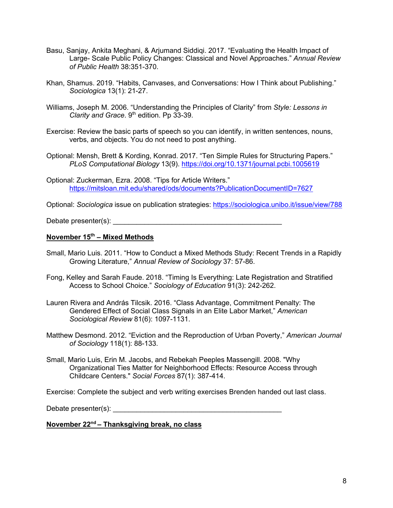- Basu, Sanjay, Ankita Meghani, & Arjumand Siddiqi. 2017. "Evaluating the Health Impact of Large- Scale Public Policy Changes: Classical and Novel Approaches." *Annual Review of Public Health* 38:351-370.
- Khan, Shamus. 2019. "Habits, Canvases, and Conversations: How I Think about Publishing." *Sociologica* 13(1): 21-27.
- Williams, Joseph M. 2006. "Understanding the Principles of Clarity" from *Style: Lessons in Clarity and Grace*. 9th edition. Pp 33-39.
- Exercise: Review the basic parts of speech so you can identify, in written sentences, nouns, verbs, and objects. You do not need to post anything.
- Optional: Mensh, Brett & Kording, Konrad. 2017. "Ten Simple Rules for Structuring Papers." *PLoS Computational Biology* 13(9). https://doi.org/10.1371/journal.pcbi.1005619
- Optional: Zuckerman, Ezra. 2008. "Tips for Article Writers." https://mitsloan.mit.edu/shared/ods/documents?PublicationDocumentID=7627

Optional: *Sociologica* issue on publication strategies: https://sociologica.unibo.it/issue/view/788

Debate presenter(s):  $\blacksquare$ 

## **November 15th – Mixed Methods**

- Small, Mario Luis. 2011. "How to Conduct a Mixed Methods Study: Recent Trends in a Rapidly Growing Literature," *Annual Review of Sociology* 37: 57-86.
- Fong, Kelley and Sarah Faude. 2018. "Timing Is Everything: Late Registration and Stratified Access to School Choice." *Sociology of Education* 91(3): 242-262.
- Lauren Rivera and András Tilcsik. 2016. "Class Advantage, Commitment Penalty: The Gendered Effect of Social Class Signals in an Elite Labor Market," *American Sociological Review* 81(6): 1097-1131.
- Matthew Desmond. 2012. "Eviction and the Reproduction of Urban Poverty," *American Journal of Sociology* 118(1): 88-133.
- Small, Mario Luis, Erin M. Jacobs, and Rebekah Peeples Massengill. 2008. "Why Organizational Ties Matter for Neighborhood Effects: Resource Access through Childcare Centers." *Social Forces* 87(1): 387-414.

Exercise: Complete the subject and verb writing exercises Brenden handed out last class.

Debate presenter(s):  $\Box$ 

## **November 22nd – Thanksgiving break, no class**